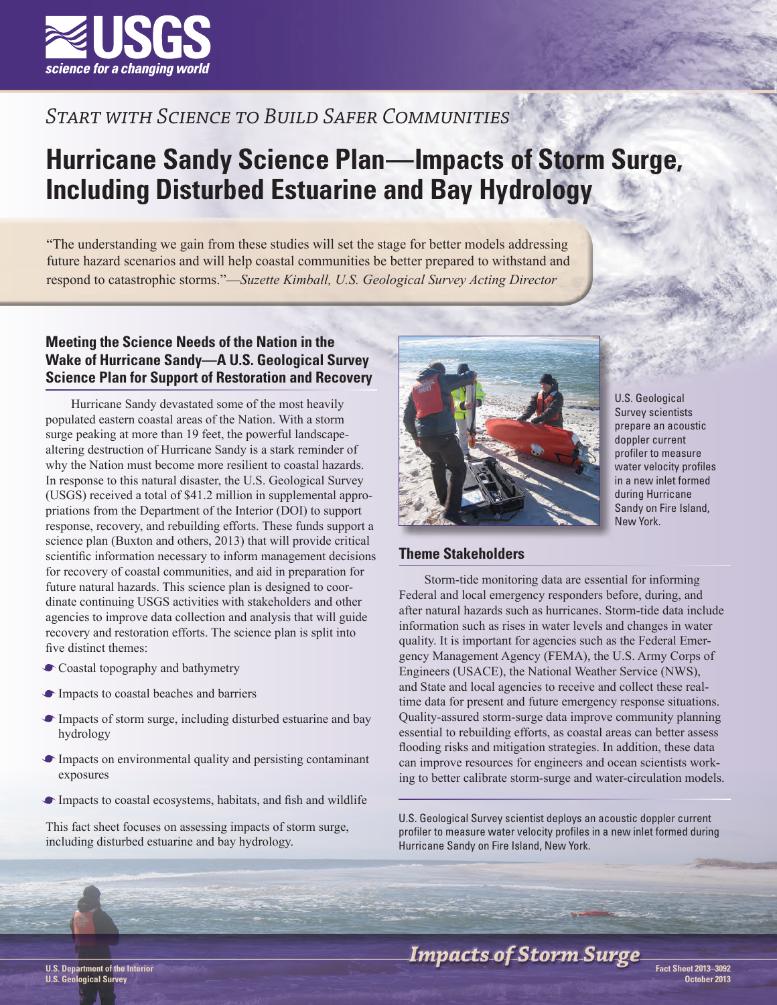

## *Start with Science to Build Safer Communities*

# **Hurricane Sandy Science Plan—Impacts of Storm Surge, Including Disturbed Estuarine and Bay Hydrology**

"The understanding we gain from these studies will set the stage for better models addressing future hazard scenarios and will help coastal communities be better prepared to withstand and respond to catastrophic storms."—*Suzette Kimball, U.S. Geological Survey Acting Director*

### **Meeting the Science Needs of the Nation in the Wake of Hurricane Sandy—A U.S. Geological Survey Science Plan for Support of Restoration and Recovery**

Hurricane Sandy devastated some of the most heavily populated eastern coastal areas of the Nation. With a storm surge peaking at more than 19 feet, the powerful landscapealtering destruction of Hurricane Sandy is a stark reminder of why the Nation must become more resilient to coastal hazards. In response to this natural disaster, the U.S. Geological Survey (USGS) received a total of \$41.2 million in supplemental appropriations from the Department of the Interior (DOI) to support response, recovery, and rebuilding efforts. These funds support a science plan (Buxton and others, 2013) that will provide critical scientific information necessary to inform management decisions for recovery of coastal communities, and aid in preparation for future natural hazards. This science plan is designed to coordinate continuing USGS activities with stakeholders and other agencies to improve data collection and analysis that will guide recovery and restoration efforts. The science plan is split into five distinct themes:

- Coastal topography and bathymetry
- Impacts to coastal beaches and barriers
- Impacts of storm surge, including disturbed estuarine and bay hydrology
- Impacts on environmental quality and persisting contaminant exposures
- Impacts to coastal ecosystems, habitats, and fish and wildlife

This fact sheet focuses on assessing impacts of storm surge, including disturbed estuarine and bay hydrology.



U.S. Geological Survey scientists prepare an acoustic doppler current profiler to measure water velocity profiles in a new inlet formed during Hurricane Sandy on Fire Island, New York.

#### **Theme Stakeholders**

Storm-tide monitoring data are essential for informing Federal and local emergency responders before, during, and after natural hazards such as hurricanes. Storm-tide data include information such as rises in water levels and changes in water quality. It is important for agencies such as the Federal Emergency Management Agency (FEMA), the U.S. Army Corps of Engineers (USACE), the National Weather Service (NWS), and State and local agencies to receive and collect these realtime data for present and future emergency response situations. Quality-assured storm-surge data improve community planning essential to rebuilding efforts, as coastal areas can better assess flooding risks and mitigation strategies. In addition, these data can improve resources for engineers and ocean scientists working to better calibrate storm-surge and water-circulation models.

U.S. Geological Survey scientist deploys an acoustic doppler current profiler to measure water velocity profiles in a new inlet formed during Hurricane Sandy on Fire Island, New York.

# **Impacts of Storm Surge**

**U.S. Geological Survey**